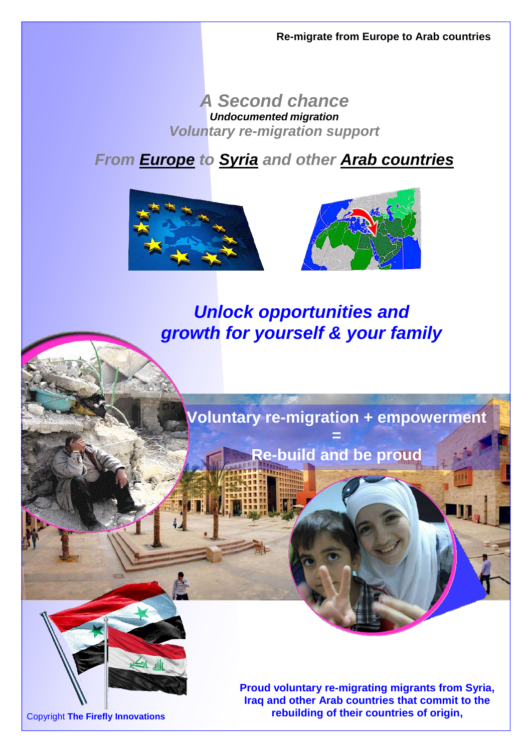### *A Second chance Undocumented migration Voluntary re-migration support*

## *From Europe to Syria and other Arab countries*





*Unlock opportunities and growth for yourself & your family*

**Voluntary re-migration + empowerment =**

**Re-build and be proud**



Copyright **The Firefly Innovations**

**Proud voluntary re-migrating migrants from Syria, Iraq and other Arab countries that commit to the rebuilding of their countries of origin,**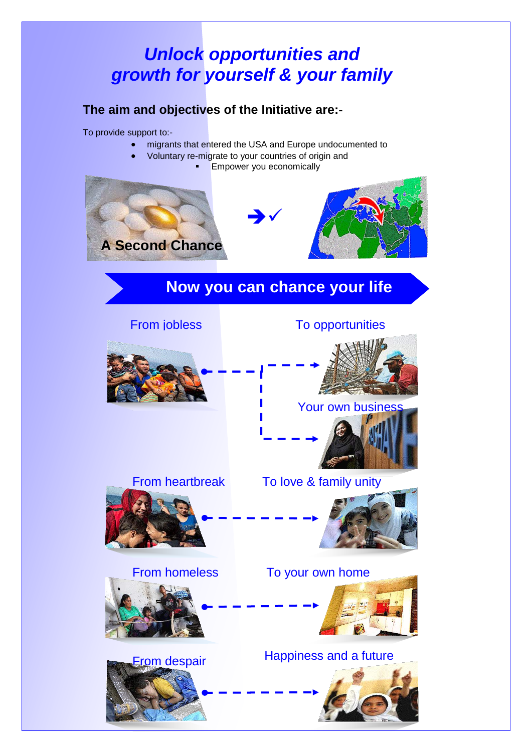# *Unlock opportunities and growth for yourself & your family*

### **The aim and objectives of the Initiative are:-**

To provide support to:-

- migrants that entered the USA and Europe undocumented to
- Voluntary re-migrate to your countries of origin and
	- Empower you economically



### **Now you can chance your life**



### From jobless To opportunities



### Your own business



### From heartbreak To love & family unity



From homeless To your own home



# From despair Happiness and a future